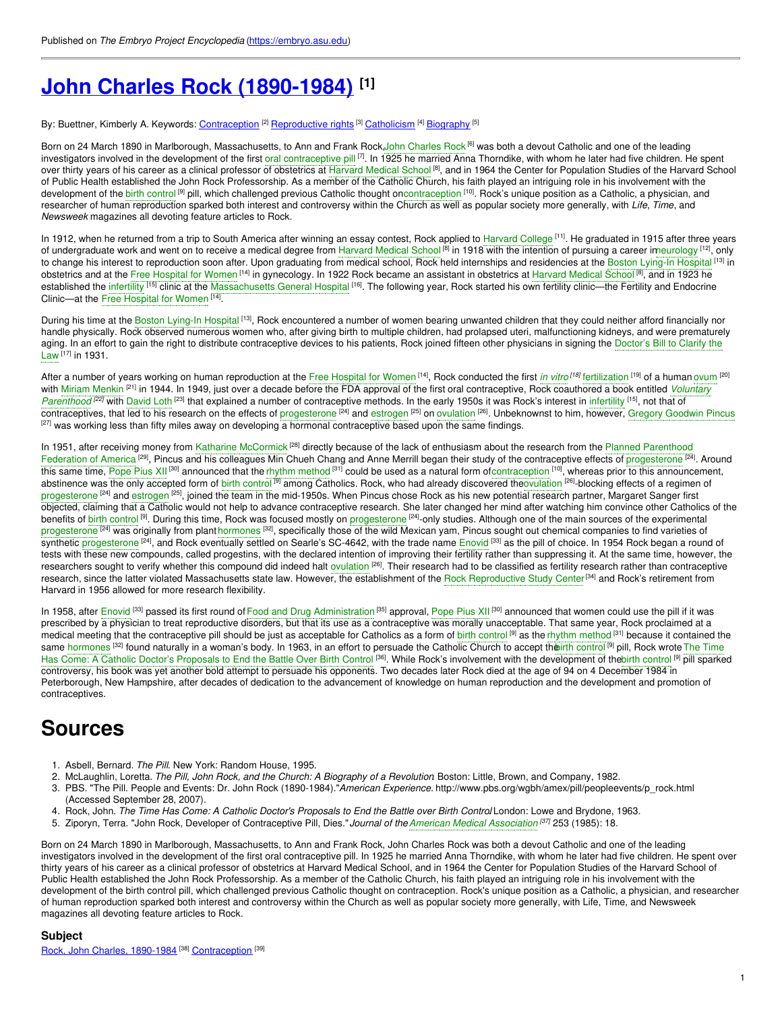# **John Charles Rock [\(1890-1984\)](https://embryo.asu.edu/pages/john-charles-rock-1890-1984) [1]**

By: Buettner, Kimberly A. Keywords: <u>[Contraception](https://embryo.asu.edu/keywords/contraception)</u> <sup>[2]</sup> <u>[Reproductive](https://embryo.asu.edu/keywords/reproductive-rights) rights</u> <sup>[3]</sup> <u>[Catholicism](https://embryo.asu.edu/keywords/catholicism)</u> [<sup>4]</sup> [Biography](https://embryo.asu.edu/keywords/biography) <sup>[5]</sup>

Born on 24 March 1890 in Marlborough, Massachusetts, to Ann and Frank Rock,John [Charles](https://embryo.asu.edu/search?text=John%20Charles%20Rock) Rock <sup>[6]</sup> was both a devout Catholic and one of the leading investigators involved in the development of the first oral [contraceptive](https://embryo.asu.edu/search?text=oral%20contraceptive%20pill) pill <sup>[7]</sup>. In 1925 he married Anna Thorndike, with whom he later had five children. He spent over thirty years of his career as a clinical professor of obstetrics at [Harvard](https://embryo.asu.edu/search?text=Harvard%20Medical%20School) Medical School <sup>[8]</sup>, and in 1964 the Center for Population Studies of the Harvard School of Public Health established the John Rock Professorship. As a member of the Catholic Church, his faith played an intriguing role in his involvement with the development of the b<mark>irth [control](https://embryo.asu.edu/search?text=birth%20control) <sup>[9]</sup> p</mark>ill, which challenged previous Catholic thought on[contraception](https://embryo.asu.edu/search?text=contraception) <sup>[10]</sup>. Rock's unique position as a Catholic, a physician, and researcher of human reproduction sparked both interest and controversy within the Church as well as popular society more generally, with *Life*, *Time*, and *Newsweek* magazines all devoting feature articles to Rock.

In 1912, when he returned from a trip to South America after winning an essay contest, Rock applied to [Harvard](https://embryo.asu.edu/search?text=Harvard%20College) College<sup>[11]</sup>. He graduated in 1915 after three years of undergraduate work and went on to receive a medical degree from [Harvard](https://embryo.asu.edu/search?text=Harvard%20Medical%20School) Medical School <sup>[8]</sup> in 1918 with the intention of pursuing a career imeurology <sup>[12]</sup>, only to change his interest to reproduction soon after. Upon graduating from medical school, Rock held internships and residencies at the Boston [Lying-In](https://embryo.asu.edu/search?text=Boston%20Lying-In%20Hospital) Hospital <sup>[13]</sup> in obstetrics and at the Free [Hospital](https://embryo.asu.edu/search?text=Free%20Hospital%20for%20Women) for Women <sup>[14]</sup> in gynecology. In 1922 Rock became an assistant in obstetrics at [Harvard](https://embryo.asu.edu/search?text=Harvard%20Medical%20School) Medical School <sup>[8]</sup>, and in 1923 he established the [infertility](https://embryo.asu.edu/search?text=infertility) <sup>[15]</sup> clinic at the [Massachusetts](https://embryo.asu.edu/search?text=Massachusetts%20General%20Hospital) General Hospital <sup>[16]</sup>. The following year, Rock started his own fertility clinic—the Fertility and Endocrine Clinic—at the Free [Hospital](https://embryo.asu.edu/search?text=Free%20Hospital%20for%20Women) for Women [14].

During his time at the Boston [Lying-In](https://embryo.asu.edu/search?text=Boston%20Lying-In%20Hospital) Hospital <sup>[13]</sup>, Rock encountered a number of women bearing unwanted children that they could neither afford financially nor handle physically. Rock observed numerous women who, after giving birth to multiple children, had prolapsed uteri, malfunctioning kidneys, and were prematurely aging. In an effort to gain the right to distribute [contraceptive](https://embryo.asu.edu/search?text=Doctor%25E2%2580%2599s%20Bill%20to%20Clarify%20the%20Law) devices to his patients, Rock joined fifteen other physicians in signing the Doctor's Bill to Clarify the Law [17] in 1931.

After a number of years working on human reproduction at the Free [Hospital](https://embryo.asu.edu/search?text=Free%20Hospital%20for%20Women) for Women [14], Rock conducted the first *in [vitro](https://embryo.asu.edu/search?text=in%20vitro) [18]* [fertilization](https://embryo.asu.edu/search?text=fertilization) [19] of a human [ovum](https://embryo.asu.edu/search?text=ovum) [20] with Miriam [Menkin](https://embryo.asu.edu/search?text=Miriam%20Menkin) <sup>[21]</sup> in 1944. In 1949, just over a decade before the FDA approval of the first oral [contraceptive,](https://embryo.asu.edu/search?text=Voluntary%20Parenthood) Rock coauthored a book entitled *Voluntary* Parenthood<sup>(22)</sup> with [David](https://embryo.asu.edu/search?text=David%20Loth) Loth<sup>[23]</sup> that explained a number of contraceptive methods. In the early 1950s it was Rock's interest in [infertility](https://embryo.asu.edu/search?text=infertility) <sup>[15]</sup>, not that of contraceptives, that led to his research on the effects of [progesterone](https://embryo.asu.edu/search?text=progesterone) <sup>[24]</sup> and [estrogen](https://embryo.asu.edu/search?text=estrogen) <sup>[25]</sup> on [ovulation](https://embryo.asu.edu/search?text=ovulation) <sup>[26]</sup>. Unbeknownst to him, however, Gregory [Goodwin](https://embryo.asu.edu/search?text=Gregory%20Goodwin%20Pincus) Pincus  $[27]$  was working less than fifty miles away on developing a hormonal contraceptive based upon the same findings.

In 1951, after receiving money from Katharine [McCormick](https://embryo.asu.edu/search?text=Katharine%20McCormick) <sup>[28]</sup> directly because of the lack of enthusiasm about the research from the Planned Parenthood Federation of America<sup>[29]</sup>, Pincus and his colleagues Min Chueh Chang and Anne Merrill began their study of the [contraceptive](https://embryo.asu.edu/search?text=Planned%20Parenthood%20Federation%20of%20America) effects of [progesterone](https://embryo.asu.edu/search?text=progesterone) <sup>[24]</sup>. Around this same time, [Pope](https://embryo.asu.edu/search?text=Pope%20Pius%20XII) Pius XII <sup>[30]</sup> announced that the rhythm [method](https://embryo.asu.edu/search?text=rhythm%20method) <sup>[31]</sup> could be used as a natural form of[contraception](https://embryo.asu.edu/search?text=contraception) <sup>[10]</sup>, whereas prior to this announcement, abstinence was the only accepted form of birth [control](https://embryo.asu.edu/search?text=birth%20control) <sup>[9]</sup> among Catholics. Rock, who had already discovered th[eovulation](https://embryo.asu.edu/search?text=ovulation) <sup>[26]</sup>-blocking effects of a regimen of [progesterone](https://embryo.asu.edu/search?text=progesterone) <sup>[24]</sup> and [estrogen](https://embryo.asu.edu/search?text=estrogen) <sup>[25]</sup>, joined the team in the mid-1950s. When Pincus chose Rock as his new potential research partner, Margaret Sanger first objected, claiming that a Catholic would not help to advance contraceptive research. She later changed her mind after watching him convince other Catholics of the benefits of birth [control](https://embryo.asu.edu/search?text=birth%20control) <sup>[9]</sup>. During this time, Rock was focused mostly on [progesterone](https://embryo.asu.edu/search?text=progesterone) <sup>[24]</sup>-only studies. Although one of the main sources of the experimental [progesterone](https://embryo.asu.edu/search?text=progesterone) <sup>[24]</sup> was originally from plant [hormones](https://embryo.asu.edu/search?text=hormones) <sup>[32]</sup>, specifically those of the wild Mexican yam, Pincus sought out chemical companies to find varieties of synthetic [progesterone](https://embryo.asu.edu/search?text=progesterone) <sup>[24]</sup>, and Rock eventually settled on Searle's SC-4642, with the trade name [Enovid](https://embryo.asu.edu/search?text=Enovid) <sup>[33]</sup> as the pill of choice. In 1954 Rock began a round of tests with these new compounds, called progestins, with the declared intention of improving their fertility rather than suppressing it. At the same time, however, the researchers sought to verify whether this compound did indeed halt [ovulation](https://embryo.asu.edu/search?text=ovulation) <sup>[26]</sup>. Their research had to be classified as fertility research rather than contraceptive research, since the latter violated Massachusetts state law. However, the establishment of the Rock [Reproductive](https://embryo.asu.edu/search?text=Rock%20Reproductive%20Study%20Center) Study Center<sup>[34]</sup> and Rock's retirement from Harvard in 1956 allowed for more research flexibility.

In 1958, after [Enovid](https://embryo.asu.edu/search?text=Enovid) <sup>[33]</sup> passed its first round of Food and Drug [Administration](https://embryo.asu.edu/search?text=Food%20and%20Drug%20Administration) <sup>[35]</sup> approval, [Pope](https://embryo.asu.edu/search?text=Pope%20Pius%20XII) Pius XII <sup>[30]</sup> announced that women could use the pill if it was prescribed by a physician to treat reproductive disorders, but that its use as a contraceptive was morally unacceptable. That same year, Rock proclaimed at a medical meeting that the contraceptive pill should be just as acceptable for Catholics as a form of birth [control](https://embryo.asu.edu/search?text=birth%20control) <sup>[9]</sup> as the rhythm [method](https://embryo.asu.edu/search?text=rhythm%20method) <sup>[31</sup>] because it contained the same [hormones](https://embryo.asu.edu/search?text=hormones) <sup>[32]</sup> found naturally in a woman's body. In 1963, in an effort to persuade the Catholic Church to accept th<mark>eirth [control](https://embryo.asu.edu/search?text=birth%20control) <sup>[9]</sup> pill, Rock wrote The Time</mark> Has Come: A Catholic Doctor's Proposals to End the Battle Over Birth Control <sup>[36]</sup>. While Rock's involvement with the [development](https://embryo.asu.edu/search?text=The%20Time%20Has%20Come%253A%20A%20Catholic%20Doctor%25E2%2580%2599s%20Proposals%20to%20End%20the%20Battle%20Over%20Birth%20Control) of thebirth [control](https://embryo.asu.edu/search?text=birth%20control) <sup>[9]</sup> pill sparked controversy, his book was yet another bold attempt to persuade his opponents. Two decades later Rock died at the age of 94 on 4 December 1984 in Peterborough, New Hampshire, after decades of dedication to the advancement of knowledge on human reproduction and the development and promotion of contraceptives.

## **Sources**

- 1. Asbell, Bernard. *The Pill*. New York: Random House, 1995.
- 2. McLaughlin, Loretta. *The Pill, John Rock, and the Church: A Biography of a Revolution*. Boston: Little, Brown, and Company, 1982.
- 3. PBS. "The Pill. People and Events: Dr. John Rock (1890-1984)."*American Experience*. http://www.pbs.org/wgbh/amex/pill/peopleevents/p\_rock.html (Accessed September 28, 2007).
- 4. Rock, John. The Time Has Come: A Catholic Doctor's Proposals to End the Battle over Birth Control London: Lowe and Brydone, 1963.
- 5. Ziporyn, Terra. "John Rock, Developer of Contraceptive Pill, Dies."*Journal of theAmerican Medical [Association](https://embryo.asu.edu/search?text=American%20Medical%20Association) [37]* 253 (1985): 18.

Born on 24 March 1890 in Marlborough, Massachusetts, to Ann and Frank Rock, John Charles Rock was both a devout Catholic and one of the leading investigators involved in the development of the first oral contraceptive pill. In 1925 he married Anna Thorndike, with whom he later had five children. He spent over thirty years of his career as a clinical professor of obstetrics at Harvard Medical School, and in 1964 the Center for Population Studies of the Harvard School of Public Health established the John Rock Professorship. As a member of the Catholic Church, his faith played an intriguing role in his involvement with the development of the birth control pill, which challenged previous Catholic thought on contraception. Rock's unique position as a Catholic, a physician, and researcher of human reproduction sparked both interest and controversy within the Church as well as popular society more generally, with Life, Time, and Newsweek magazines all devoting feature articles to Rock.

### **Subject**

Rock, John Charles, [1890-1984](https://embryo.asu.edu/library-congress-subject-headings/rock-john-charles-1890-1984)<sup>[38]</sup> [Contraception](https://embryo.asu.edu/medical-subject-headings/contraception)<sup>[39]</sup>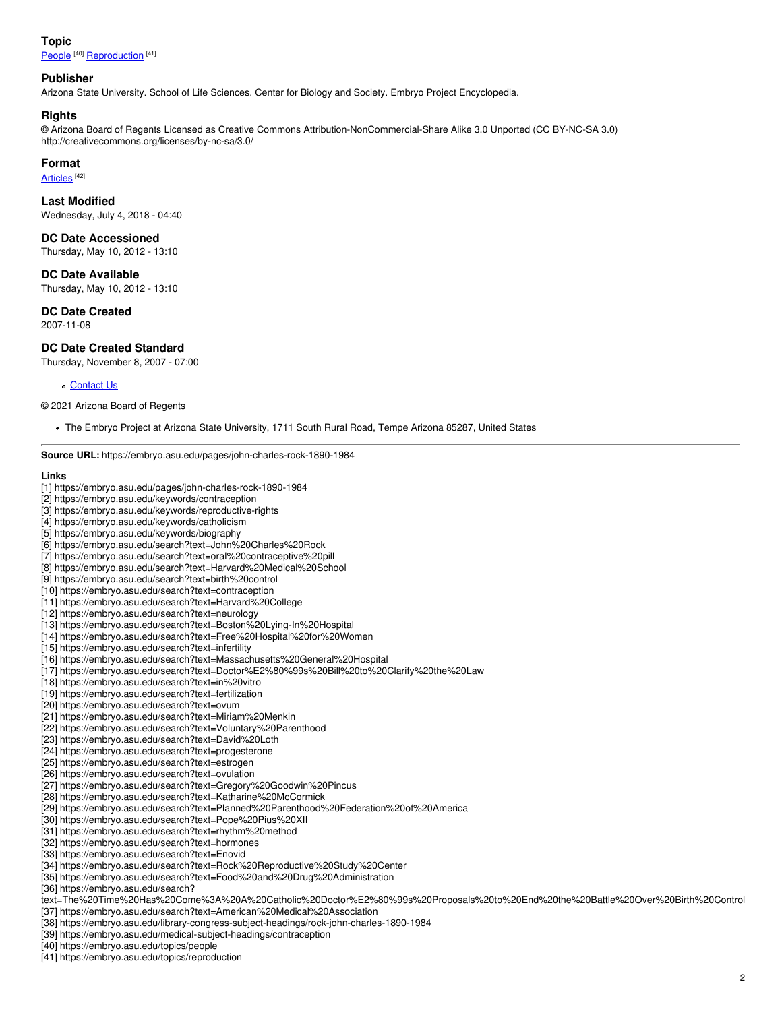#### **Topic**

[People](https://embryo.asu.edu/topics/people)<sup>[40]</sup> [Reproduction](https://embryo.asu.edu/topics/reproduction)<sup>[41]</sup>

#### **Publisher**

Arizona State University. School of Life Sciences. Center for Biology and Society. Embryo Project Encyclopedia.

#### **Rights**

© Arizona Board of Regents Licensed as Creative Commons Attribution-NonCommercial-Share Alike 3.0 Unported (CC BY-NC-SA 3.0) http://creativecommons.org/licenses/by-nc-sa/3.0/

#### **Format**

[Articles](https://embryo.asu.edu/formats/articles)<sup>[42]</sup>

#### **Last Modified**

Wednesday, July 4, 2018 - 04:40

**DC Date Accessioned**

Thursday, May 10, 2012 - 13:10

**DC Date Available**

Thursday, May 10, 2012 - 13:10

**DC Date Created**

2007-11-08

#### **DC Date Created Standard**

Thursday, November 8, 2007 - 07:00

#### o [Contact](https://embryo.asu.edu/contact) Us

© 2021 Arizona Board of Regents

The Embryo Project at Arizona State University, 1711 South Rural Road, Tempe Arizona 85287, United States

**Source URL:** https://embryo.asu.edu/pages/john-charles-rock-1890-1984

#### **Links**

- [1] https://embryo.asu.edu/pages/john-charles-rock-1890-1984
- [2] https://embryo.asu.edu/keywords/contraception
- [3] https://embryo.asu.edu/keywords/reproductive-rights
- [4] https://embryo.asu.edu/keywords/catholicism
- [5] https://embryo.asu.edu/keywords/biography
- [6] https://embryo.asu.edu/search?text=John%20Charles%20Rock
- [7] https://embryo.asu.edu/search?text=oral%20contraceptive%20pill
- [8] https://embryo.asu.edu/search?text=Harvard%20Medical%20School
- [9] https://embryo.asu.edu/search?text=birth%20control
- [10] https://embryo.asu.edu/search?text=contraception
- [11] https://embryo.asu.edu/search?text=Harvard%20College
- [12] https://embryo.asu.edu/search?text=neurology
- [13] https://embryo.asu.edu/search?text=Boston%20Lying-In%20Hospital
- [14] https://embryo.asu.edu/search?text=Free%20Hospital%20for%20Women
- [15] https://embryo.asu.edu/search?text=infertility
- [16] https://embryo.asu.edu/search?text=Massachusetts%20General%20Hospital
- [17] https://embryo.asu.edu/search?text=Doctor%E2%80%99s%20Bill%20to%20Clarify%20the%20Law
- [18] https://embryo.asu.edu/search?text=in%20vitro
- [19] https://embryo.asu.edu/search?text=fertilization
- [20] https://embryo.asu.edu/search?text=ovum
- [21] https://embryo.asu.edu/search?text=Miriam%20Menkin
- [22] https://embryo.asu.edu/search?text=Voluntary%20Parenthood
- [23] https://embryo.asu.edu/search?text=David%20Loth
- [24] https://embryo.asu.edu/search?text=progesterone
- [25] https://embryo.asu.edu/search?text=estrogen
- [26] https://embryo.asu.edu/search?text=ovulation
- [27] https://embryo.asu.edu/search?text=Gregory%20Goodwin%20Pincus
- [28] https://embryo.asu.edu/search?text=Katharine%20McCormick
- [29] https://embryo.asu.edu/search?text=Planned%20Parenthood%20Federation%20of%20America
- [30] https://embryo.asu.edu/search?text=Pope%20Pius%20XII
- [31] https://embryo.asu.edu/search?text=rhythm%20method
- [32] https://embryo.asu.edu/search?text=hormones
- [33] https://embryo.asu.edu/search?text=Enovid
- [34] https://embryo.asu.edu/search?text=Rock%20Reproductive%20Study%20Center
- [35] https://embryo.asu.edu/search?text=Food%20and%20Drug%20Administration
- [36] https://embryo.asu.edu/search?
- text=The%20Time%20Has%20Come%3A%20A%20Catholic%20Doctor%E2%80%99s%20Proposals%20to%20End%20the%20Battle%20Over%20Birth%20Control
- [37] https://embryo.asu.edu/search?text=American%20Medical%20Association
- [38] https://embryo.asu.edu/library-congress-subject-headings/rock-john-charles-1890-1984
- [39] https://embryo.asu.edu/medical-subject-headings/contraception
- [40] https://embryo.asu.edu/topics/people
- [41] https://embryo.asu.edu/topics/reproduction